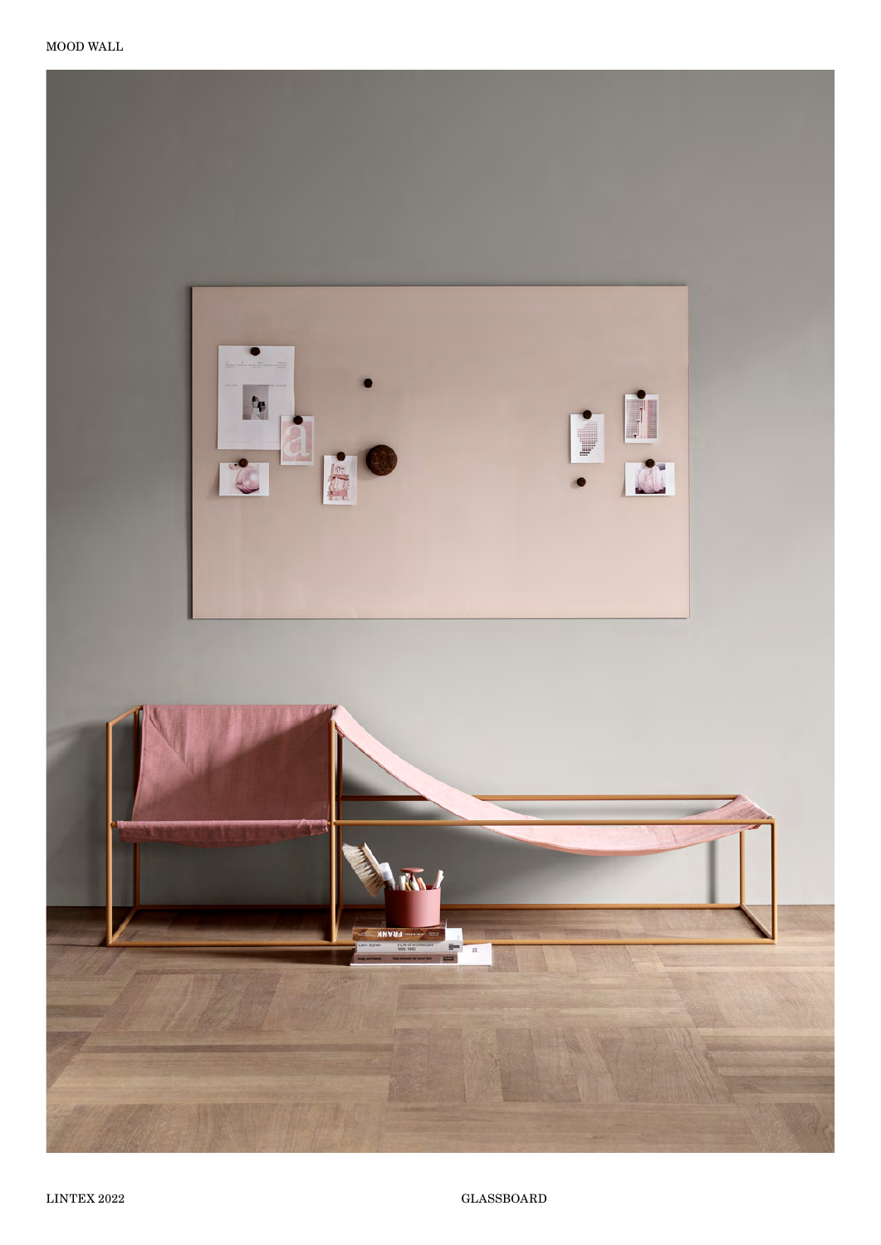